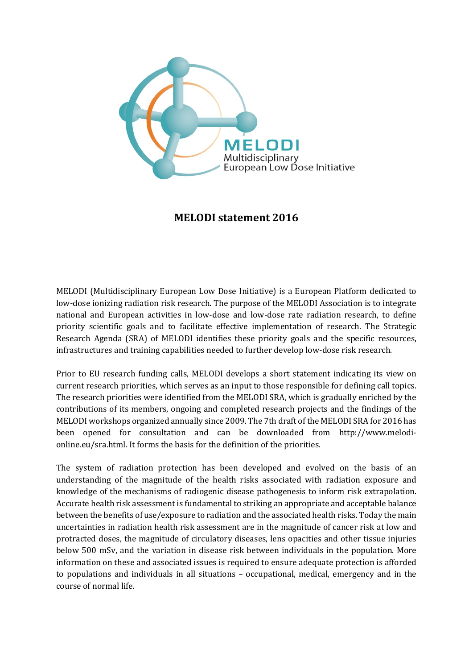

## **MELODI statement 2016**

MELODI (Multidisciplinary European Low Dose Initiative) is a European Platform dedicated to low-dose ionizing radiation risk research. The purpose of the MELODI Association is to integrate national and European activities in low-dose and low-dose rate radiation research, to define priority scientific goals and to facilitate effective implementation of research. The Strategic Research Agenda (SRA) of MELODI identifies these priority goals and the specific resources, infrastructures and training capabilities needed to further develop low-dose risk research.

Prior to EU research funding calls, MELODI develops a short statement indicating its view on current research priorities, which serves as an input to those responsible for defining call topics. The research priorities were identified from the MELODI SRA, which is gradually enriched by the contributions of its members, ongoing and completed research projects and the findings of the MELODI workshops organized annually since 2009. The 7th draft of the MELODI SRA for 2016 has been opened for consultation and can be downloaded from http://www.melodionline.eu/sra.html. It forms the basis for the definition of the priorities.

The system of radiation protection has been developed and evolved on the basis of an understanding of the magnitude of the health risks associated with radiation exposure and knowledge of the mechanisms of radiogenic disease pathogenesis to inform risk extrapolation. Accurate health risk assessment is fundamental to striking an appropriate and acceptable balance between the benefits of use/exposure to radiation and the associated health risks. Today the main uncertainties in radiation health risk assessment are in the magnitude of cancer risk at low and protracted doses, the magnitude of circulatory diseases, lens opacities and other tissue injuries below 500 mSv, and the variation in disease risk between individuals in the population. More information on these and associated issues is required to ensure adequate protection is afforded to populations and individuals in all situations – occupational, medical, emergency and in the course of normal life.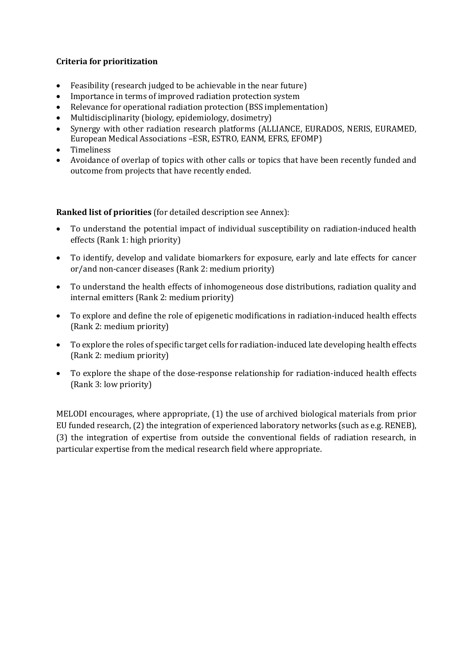## **Criteria for prioritization**

- Feasibility (research judged to be achievable in the near future)
- Importance in terms of improved radiation protection system
- Relevance for operational radiation protection (BSS implementation)
- Multidisciplinarity (biology, epidemiology, dosimetry)
- Synergy with other radiation research platforms (ALLIANCE, EURADOS, NERIS, EURAMED, European Medical Associations –ESR, ESTRO, EANM, EFRS, EFOMP)
- Timeliness
- Avoidance of overlap of topics with other calls or topics that have been recently funded and outcome from projects that have recently ended.

**Ranked list of priorities** (for detailed description see Annex):

- To understand the potential impact of individual susceptibility on radiation-induced health effects (Rank 1: high priority)
- To identify, develop and validate biomarkers for exposure, early and late effects for cancer or/and non-cancer diseases (Rank 2: medium priority)
- To understand the health effects of inhomogeneous dose distributions, radiation quality and internal emitters (Rank 2: medium priority)
- To explore and define the role of epigenetic modifications in radiation-induced health effects (Rank 2: medium priority)
- To explore the roles of specific target cells for radiation-induced late developing health effects (Rank 2: medium priority)
- To explore the shape of the dose-response relationship for radiation-induced health effects (Rank 3: low priority)

MELODI encourages, where appropriate, (1) the use of archived biological materials from prior EU funded research, (2) the integration of experienced laboratory networks (such as e.g. RENEB), (3) the integration of expertise from outside the conventional fields of radiation research, in particular expertise from the medical research field where appropriate.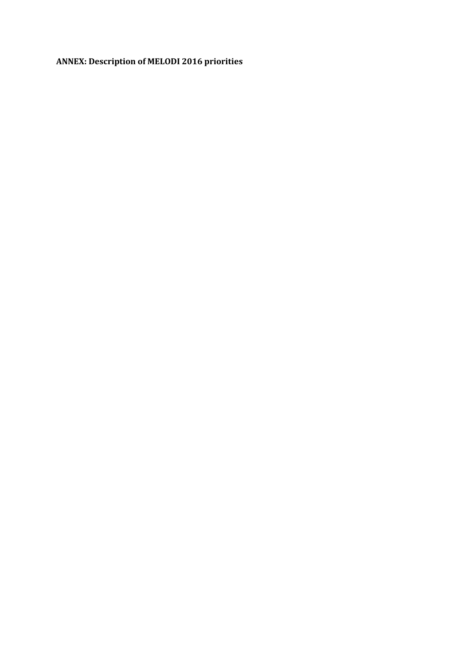## **ANNEX: Description of MELODI 2016 priorities**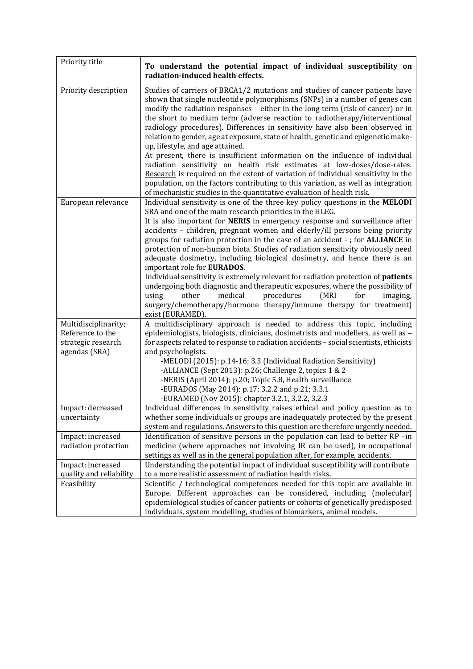| Priority title                                                                  | To understand the potential impact of individual susceptibility on<br>radiation-induced health effects.                                                                                                                                                                                                                                                                                                                                                                                                                                                                                                                                                                                                                                                                                                                                                                                                                                           |
|---------------------------------------------------------------------------------|---------------------------------------------------------------------------------------------------------------------------------------------------------------------------------------------------------------------------------------------------------------------------------------------------------------------------------------------------------------------------------------------------------------------------------------------------------------------------------------------------------------------------------------------------------------------------------------------------------------------------------------------------------------------------------------------------------------------------------------------------------------------------------------------------------------------------------------------------------------------------------------------------------------------------------------------------|
| Priority description                                                            | Studies of carriers of BRCA1/2 mutations and studies of cancer patients have<br>shown that single nucleotide polymorphisms (SNPs) in a number of genes can<br>modify the radiation responses - either in the long term (risk of cancer) or in<br>the short to medium term (adverse reaction to radiotherapy/interventional<br>radiology procedures). Differences in sensitivity have also been observed in<br>relation to gender, age at exposure, state of health, genetic and epigenetic make-<br>up, lifestyle, and age attained.<br>At present, there is insufficient information on the influence of individual<br>radiation sensitivity on health risk estimates at low-doses/dose-rates.<br>Research is required on the extent of variation of individual sensitivity in the<br>population, on the factors contributing to this variation, as well as integration<br>of mechanistic studies in the quantitative evaluation of health risk. |
| European relevance                                                              | Individual sensitivity is one of the three key policy questions in the MELODI<br>SRA and one of the main research priorities in the HLEG.<br>It is also important for NERIS in emergency response and surveillance after<br>accidents - children, pregnant women and elderly/ill persons being priority<br>groups for radiation protection in the case of an accident - ; for ALLIANCE in<br>protection of non-human biota. Studies of radiation sensitivity obviously need<br>adequate dosimetry, including biological dosimetry, and hence there is an<br>important role for EURADOS.<br>Individual sensitivity is extremely relevant for radiation protection of patients<br>undergoing both diagnostic and therapeutic exposures, where the possibility of<br>other<br>medical<br>procedures<br>(MRI)<br>using<br>for<br>imaging,<br>surgery/chemotherapy/hormone therapy/immune therapy for treatment)<br>exist (EURAMED).                   |
| Multidisciplinarity;<br>Reference to the<br>strategic research<br>agendas (SRA) | A multidisciplinary approach is needed to address this topic, including<br>epidemiologists, biologists, clinicians, dosimetrists and modellers, as well as -<br>for aspects related to response to radiation accidents - social scientists, ethicists<br>and psychologists.<br>-MELODI (2015): p.14-16; 3.3 (Individual Radiation Sensitivity)<br>-ALLIANCE (Sept 2013): p.26; Challenge 2, topics 1 & 2<br>-NERIS (April 2014): p.20; Topic 5.8, Health surveillance<br>-EURADOS (May 2014): p.17; 3.2.2 and p.21; 3.3.1<br>-EURAMED (Nov 2015): chapter 3.2.1, 3.2.2, 3.2.3                                                                                                                                                                                                                                                                                                                                                                     |
| Impact: decreased<br>uncertainty                                                | Individual differences in sensitivity raises ethical and policy question as to<br>whether some individuals or groups are inadequately protected by the present<br>system and regulations. Answers to this question are therefore urgently needed.                                                                                                                                                                                                                                                                                                                                                                                                                                                                                                                                                                                                                                                                                                 |
| Impact: increased<br>radiation protection                                       | Identification of sensitive persons in the population can lead to better RP -in<br>medicine (where approaches not involving IR can be used), in occupational<br>settings as well as in the general population after, for example, accidents.                                                                                                                                                                                                                                                                                                                                                                                                                                                                                                                                                                                                                                                                                                      |
| Impact: increased<br>quality and reliability                                    | Understanding the potential impact of individual susceptibility will contribute<br>to a more realistic assessment of radiation health risks.                                                                                                                                                                                                                                                                                                                                                                                                                                                                                                                                                                                                                                                                                                                                                                                                      |
| Feasibility                                                                     | Scientific / technological competences needed for this topic are available in<br>Europe. Different approaches can be considered, including (molecular)<br>epidemiological studies of cancer patients or cohorts of genetically predisposed<br>individuals, system modelling, studies of biomarkers, animal models.                                                                                                                                                                                                                                                                                                                                                                                                                                                                                                                                                                                                                                |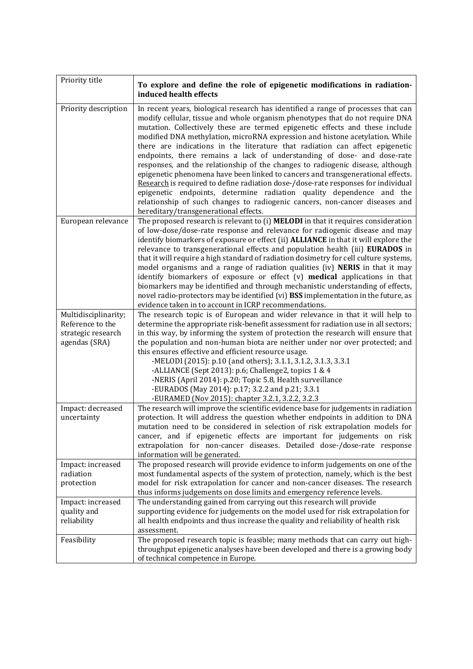| Priority title                                                                  | To explore and define the role of epigenetic modifications in radiation-<br>induced health effects                                                                                                                                                                                                                                                                                                                                                                                                                                                                                                                                                                                                                                                                                                                                                                                                                                                      |
|---------------------------------------------------------------------------------|---------------------------------------------------------------------------------------------------------------------------------------------------------------------------------------------------------------------------------------------------------------------------------------------------------------------------------------------------------------------------------------------------------------------------------------------------------------------------------------------------------------------------------------------------------------------------------------------------------------------------------------------------------------------------------------------------------------------------------------------------------------------------------------------------------------------------------------------------------------------------------------------------------------------------------------------------------|
| Priority description                                                            | In recent years, biological research has identified a range of processes that can<br>modify cellular, tissue and whole organism phenotypes that do not require DNA<br>mutation. Collectively these are termed epigenetic effects and these include<br>modified DNA methylation, microRNA expression and histone acetylation. While<br>there are indications in the literature that radiation can affect epigenetic<br>endpoints, there remains a lack of understanding of dose- and dose-rate<br>responses, and the relationship of the changes to radiogenic disease, although<br>epigenetic phenomena have been linked to cancers and transgenerational effects.<br>Research is required to define radiation dose-/dose-rate responses for individual<br>epigenetic endpoints, determine radiation quality dependence and the<br>relationship of such changes to radiogenic cancers, non-cancer diseases and<br>hereditary/transgenerational effects. |
| European relevance                                                              | The proposed research is relevant to (i) MELODI in that it requires consideration<br>of low-dose/dose-rate response and relevance for radiogenic disease and may<br>identify biomarkers of exposure or effect (ii) ALLIANCE in that it will explore the<br>relevance to transgenerational effects and population health (iii) EURADOS in<br>that it will require a high standard of radiation dosimetry for cell culture systems,<br>model organisms and a range of radiation qualities (iv) NERIS in that it may<br>identify biomarkers of exposure or effect (v) medical applications in that<br>biomarkers may be identified and through mechanistic understanding of effects,<br>novel radio-protectors may be identified (vi) BSS implementation in the future, as<br>evidence taken in to account in ICRP recommendations.                                                                                                                        |
| Multidisciplinarity;<br>Reference to the<br>strategic research<br>agendas (SRA) | The research topic is of European and wider relevance in that it will help to<br>determine the appropriate risk-benefit assessment for radiation use in all sectors;<br>in this way, by informing the system of protection the research will ensure that<br>the population and non-human biota are neither under nor over protected; and<br>this ensures effective and efficient resource usage.<br>-MELODI (2015): p.10 (and others); 3.1.1, 3.1.2, 3.1.3, 3.3.1<br>-ALLIANCE (Sept 2013): p.6; Challenge2, topics 1 & 4<br>-NERIS (April 2014): p.20; Topic 5.8, Health surveillance<br>-EURADOS (May 2014): p.17; 3.2.2 and p.21; 3.3.1<br>-EURAMED (Nov 2015): chapter 3.2.1, 3.2.2, 3.2.3                                                                                                                                                                                                                                                          |
| Impact: decreased<br>uncertainty                                                | The research will improve the scientific evidence base for judgements in radiation<br>protection. It will address the question whether endpoints in addition to DNA<br>mutation need to be considered in selection of risk extrapolation models for<br>cancer, and if epigenetic effects are important for judgements on risk<br>extrapolation for non-cancer diseases. Detailed dose-/dose-rate response<br>information will be generated.                                                                                                                                                                                                                                                                                                                                                                                                                                                                                                             |
| Impact: increased<br>radiation<br>protection                                    | The proposed research will provide evidence to inform judgements on one of the<br>most fundamental aspects of the system of protection, namely, which is the best<br>model for risk extrapolation for cancer and non-cancer diseases. The research<br>thus informs judgements on dose limits and emergency reference levels.                                                                                                                                                                                                                                                                                                                                                                                                                                                                                                                                                                                                                            |
| Impact: increased<br>quality and<br>reliability                                 | The understanding gained from carrying out this research will provide<br>supporting evidence for judgements on the model used for risk extrapolation for<br>all health endpoints and thus increase the quality and reliability of health risk<br>assessment.                                                                                                                                                                                                                                                                                                                                                                                                                                                                                                                                                                                                                                                                                            |
| Feasibility                                                                     | The proposed research topic is feasible; many methods that can carry out high-<br>throughput epigenetic analyses have been developed and there is a growing body<br>of technical competence in Europe.                                                                                                                                                                                                                                                                                                                                                                                                                                                                                                                                                                                                                                                                                                                                                  |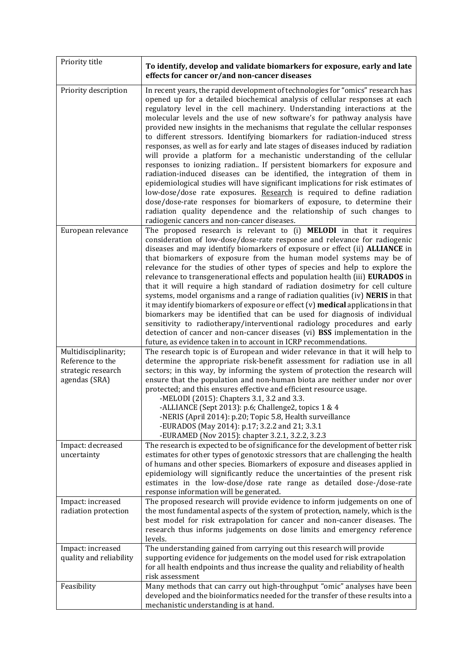| Priority title                                                                  | To identify, develop and validate biomarkers for exposure, early and late<br>effects for cancer or/and non-cancer diseases                                                                                                                                                                                                                                                                                                                                                                                                                                                                                                                                                                                                                                                                                                                                                                                                                                                                                                                                                                                                                                                     |
|---------------------------------------------------------------------------------|--------------------------------------------------------------------------------------------------------------------------------------------------------------------------------------------------------------------------------------------------------------------------------------------------------------------------------------------------------------------------------------------------------------------------------------------------------------------------------------------------------------------------------------------------------------------------------------------------------------------------------------------------------------------------------------------------------------------------------------------------------------------------------------------------------------------------------------------------------------------------------------------------------------------------------------------------------------------------------------------------------------------------------------------------------------------------------------------------------------------------------------------------------------------------------|
| Priority description                                                            | In recent years, the rapid development of technologies for "omics" research has<br>opened up for a detailed biochemical analysis of cellular responses at each<br>regulatory level in the cell machinery. Understanding interactions at the<br>molecular levels and the use of new software's for pathway analysis have<br>provided new insights in the mechanisms that regulate the cellular responses<br>to different stressors. Identifying biomarkers for radiation-induced stress<br>responses, as well as for early and late stages of diseases induced by radiation<br>will provide a platform for a mechanistic understanding of the cellular<br>responses to ionizing radiation If persistent biomarkers for exposure and<br>radiation-induced diseases can be identified, the integration of them in<br>epidemiological studies will have significant implications for risk estimates of<br>low-dose/dose rate exposures. Research is required to define radiation<br>dose/dose-rate responses for biomarkers of exposure, to determine their<br>radiation quality dependence and the relationship of such changes to<br>radiogenic cancers and non-cancer diseases. |
| European relevance                                                              | The proposed research is relevant to (i) MELODI in that it requires<br>consideration of low-dose/dose-rate response and relevance for radiogenic<br>diseases and may identify biomarkers of exposure or effect (ii) ALLIANCE in<br>that biomarkers of exposure from the human model systems may be of<br>relevance for the studies of other types of species and help to explore the<br>relevance to transgenerational effects and population health (iii) EURADOS in<br>that it will require a high standard of radiation dosimetry for cell culture<br>systems, model organisms and a range of radiation qualities (iv) NERIS in that<br>it may identify biomarkers of exposure or effect (v) medical applications in that<br>biomarkers may be identified that can be used for diagnosis of individual<br>sensitivity to radiotherapy/interventional radiology procedures and early<br>detection of cancer and non-cancer diseases (vi) BSS implementation in the<br>future, as evidence taken in to account in ICRP recommendations.                                                                                                                                       |
| Multidisciplinarity;<br>Reference to the<br>strategic research<br>agendas (SRA) | The research topic is of European and wider relevance in that it will help to<br>determine the appropriate risk-benefit assessment for radiation use in all<br>sectors; in this way, by informing the system of protection the research will<br>ensure that the population and non-human biota are neither under nor over<br>protected; and this ensures effective and efficient resource usage.<br>-MELODI (2015): Chapters 3.1, 3.2 and 3.3.<br>-ALLIANCE (Sept 2013): p.6; Challenge2, topics 1 & 4<br>-NERIS (April 2014): p.20; Topic 5.8, Health surveillance<br>-EURADOS (May 2014): p.17; 3.2.2 and 21; 3.3.1<br>-EURAMED (Nov 2015): chapter 3.2.1, 3.2.2, 3.2.3                                                                                                                                                                                                                                                                                                                                                                                                                                                                                                      |
| Impact: decreased<br>uncertainty                                                | The research is expected to be of significance for the development of better risk<br>estimates for other types of genotoxic stressors that are challenging the health<br>of humans and other species. Biomarkers of exposure and diseases applied in<br>epidemiology will significantly reduce the uncertainties of the present risk<br>estimates in the low-dose/dose rate range as detailed dose-/dose-rate<br>response information will be generated.                                                                                                                                                                                                                                                                                                                                                                                                                                                                                                                                                                                                                                                                                                                       |
| Impact: increased<br>radiation protection                                       | The proposed research will provide evidence to inform judgements on one of<br>the most fundamental aspects of the system of protection, namely, which is the<br>best model for risk extrapolation for cancer and non-cancer diseases. The<br>research thus informs judgements on dose limits and emergency reference<br>levels.                                                                                                                                                                                                                                                                                                                                                                                                                                                                                                                                                                                                                                                                                                                                                                                                                                                |
| Impact: increased<br>quality and reliability                                    | The understanding gained from carrying out this research will provide<br>supporting evidence for judgements on the model used for risk extrapolation<br>for all health endpoints and thus increase the quality and reliability of health<br>risk assessment                                                                                                                                                                                                                                                                                                                                                                                                                                                                                                                                                                                                                                                                                                                                                                                                                                                                                                                    |
| Feasibility                                                                     | Many methods that can carry out high-throughput "omic" analyses have been<br>developed and the bioinformatics needed for the transfer of these results into a<br>mechanistic understanding is at hand.                                                                                                                                                                                                                                                                                                                                                                                                                                                                                                                                                                                                                                                                                                                                                                                                                                                                                                                                                                         |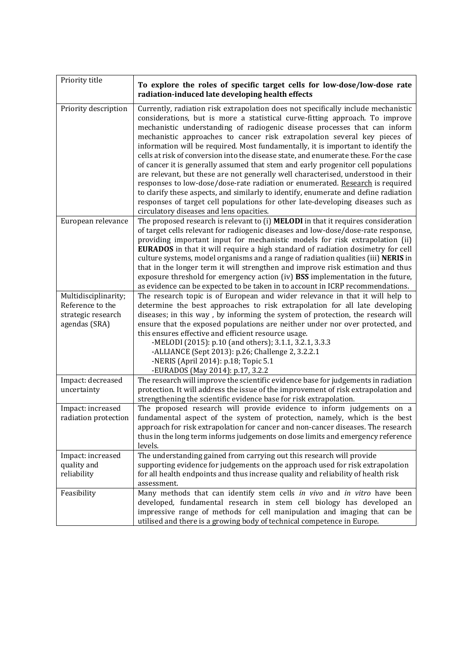| Priority title                                                                  | To explore the roles of specific target cells for low-dose/low-dose rate<br>radiation-induced late developing health effects                                                                                                                                                                                                                                                                                                                                                                                                                                                                                                                                                                                                                                                                                                                                                                                                                                                               |
|---------------------------------------------------------------------------------|--------------------------------------------------------------------------------------------------------------------------------------------------------------------------------------------------------------------------------------------------------------------------------------------------------------------------------------------------------------------------------------------------------------------------------------------------------------------------------------------------------------------------------------------------------------------------------------------------------------------------------------------------------------------------------------------------------------------------------------------------------------------------------------------------------------------------------------------------------------------------------------------------------------------------------------------------------------------------------------------|
| Priority description                                                            | Currently, radiation risk extrapolation does not specifically include mechanistic<br>considerations, but is more a statistical curve-fitting approach. To improve<br>mechanistic understanding of radiogenic disease processes that can inform<br>mechanistic approaches to cancer risk extrapolation several key pieces of<br>information will be required. Most fundamentally, it is important to identify the<br>cells at risk of conversion into the disease state, and enumerate these. For the case<br>of cancer it is generally assumed that stem and early progenitor cell populations<br>are relevant, but these are not generally well characterised, understood in their<br>responses to low-dose/dose-rate radiation or enumerated. Research is required<br>to clarify these aspects, and similarly to identify, enumerate and define radiation<br>responses of target cell populations for other late-developing diseases such as<br>circulatory diseases and lens opacities. |
| European relevance                                                              | The proposed research is relevant to (i) MELODI in that it requires consideration<br>of target cells relevant for radiogenic diseases and low-dose/dose-rate response,<br>providing important input for mechanistic models for risk extrapolation (ii)<br><b>EURADOS</b> in that it will require a high standard of radiation dosimetry for cell<br>culture systems, model organisms and a range of radiation qualities (iii) NERIS in<br>that in the longer term it will strengthen and improve risk estimation and thus<br>exposure threshold for emergency action (iv) BSS implementation in the future,<br>as evidence can be expected to be taken in to account in ICRP recommendations.                                                                                                                                                                                                                                                                                              |
| Multidisciplinarity;<br>Reference to the<br>strategic research<br>agendas (SRA) | The research topic is of European and wider relevance in that it will help to<br>determine the best approaches to risk extrapolation for all late developing<br>diseases; in this way, by informing the system of protection, the research will<br>ensure that the exposed populations are neither under nor over protected, and<br>this ensures effective and efficient resource usage.<br>-MELODI (2015): p.10 (and others); 3.1.1, 3.2.1, 3.3.3<br>-ALLIANCE (Sept 2013): p.26; Challenge 2, 3.2.2.1<br>-NERIS (April 2014): p.18; Topic 5.1<br>-EURADOS (May 2014): p.17, 3.2.2                                                                                                                                                                                                                                                                                                                                                                                                        |
| Impact: decreased<br>uncertainty                                                | The research will improve the scientific evidence base for judgements in radiation<br>protection. It will address the issue of the improvement of risk extrapolation and<br>strengthening the scientific evidence base for risk extrapolation.                                                                                                                                                                                                                                                                                                                                                                                                                                                                                                                                                                                                                                                                                                                                             |
| Impact: increased<br>radiation protection                                       | The proposed research will provide evidence to inform judgements on a<br>fundamental aspect of the system of protection, namely, which is the best<br>approach for risk extrapolation for cancer and non-cancer diseases. The research<br>thus in the long term informs judgements on dose limits and emergency reference<br>levels.                                                                                                                                                                                                                                                                                                                                                                                                                                                                                                                                                                                                                                                       |
| Impact: increased<br>quality and<br>reliability                                 | The understanding gained from carrying out this research will provide<br>supporting evidence for judgements on the approach used for risk extrapolation<br>for all health endpoints and thus increase quality and reliability of health risk<br>assessment.                                                                                                                                                                                                                                                                                                                                                                                                                                                                                                                                                                                                                                                                                                                                |
| Feasibility                                                                     | Many methods that can identify stem cells in vivo and in vitro have been<br>developed, fundamental research in stem cell biology has developed an<br>impressive range of methods for cell manipulation and imaging that can be<br>utilised and there is a growing body of technical competence in Europe.                                                                                                                                                                                                                                                                                                                                                                                                                                                                                                                                                                                                                                                                                  |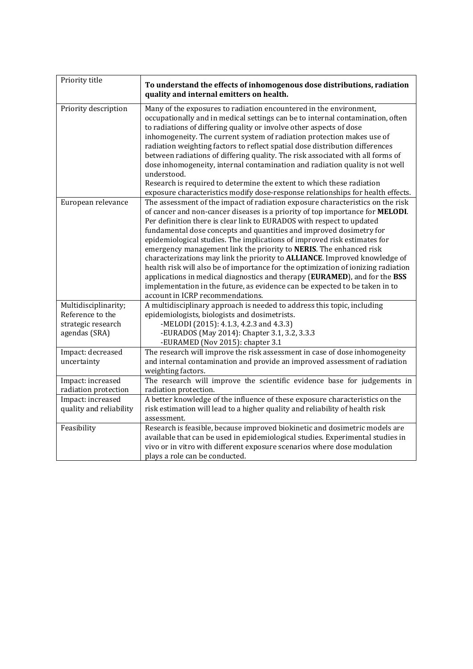| Priority title                                                                  | To understand the effects of inhomogenous dose distributions, radiation                                                                                                                                                                                                                                                                                                                                                                                                                                                                                                                                                                                                                                                                                                                                                               |
|---------------------------------------------------------------------------------|---------------------------------------------------------------------------------------------------------------------------------------------------------------------------------------------------------------------------------------------------------------------------------------------------------------------------------------------------------------------------------------------------------------------------------------------------------------------------------------------------------------------------------------------------------------------------------------------------------------------------------------------------------------------------------------------------------------------------------------------------------------------------------------------------------------------------------------|
|                                                                                 | quality and internal emitters on health.                                                                                                                                                                                                                                                                                                                                                                                                                                                                                                                                                                                                                                                                                                                                                                                              |
| Priority description                                                            | Many of the exposures to radiation encountered in the environment,<br>occupationally and in medical settings can be to internal contamination, often<br>to radiations of differing quality or involve other aspects of dose<br>inhomogeneity. The current system of radiation protection makes use of<br>radiation weighting factors to reflect spatial dose distribution differences<br>between radiations of differing quality. The risk associated with all forms of<br>dose inhomogeneity, internal contamination and radiation quality is not well<br>understood.<br>Research is required to determine the extent to which these radiation<br>exposure characteristics modify dose-response relationships for health effects.                                                                                                    |
| European relevance                                                              | The assessment of the impact of radiation exposure characteristics on the risk<br>of cancer and non-cancer diseases is a priority of top importance for MELODI.<br>Per definition there is clear link to EURADOS with respect to updated<br>fundamental dose concepts and quantities and improved dosimetry for<br>epidemiological studies. The implications of improved risk estimates for<br>emergency management link the priority to NERIS. The enhanced risk<br>characterizations may link the priority to ALLIANCE. Improved knowledge of<br>health risk will also be of importance for the optimization of ionizing radiation<br>applications in medical diagnostics and therapy (EURAMED), and for the BSS<br>implementation in the future, as evidence can be expected to be taken in to<br>account in ICRP recommendations. |
| Multidisciplinarity;<br>Reference to the<br>strategic research<br>agendas (SRA) | A multidisciplinary approach is needed to address this topic, including<br>epidemiologists, biologists and dosimetrists.<br>-MELODI (2015): 4.1.3, 4.2.3 and 4.3.3)<br>-EURADOS (May 2014): Chapter 3.1, 3.2, 3.3.3<br>-EURAMED (Nov 2015): chapter 3.1                                                                                                                                                                                                                                                                                                                                                                                                                                                                                                                                                                               |
| Impact: decreased<br>uncertainty                                                | The research will improve the risk assessment in case of dose inhomogeneity<br>and internal contamination and provide an improved assessment of radiation<br>weighting factors.                                                                                                                                                                                                                                                                                                                                                                                                                                                                                                                                                                                                                                                       |
| Impact: increased<br>radiation protection                                       | The research will improve the scientific evidence base for judgements in<br>radiation protection.                                                                                                                                                                                                                                                                                                                                                                                                                                                                                                                                                                                                                                                                                                                                     |
| Impact: increased<br>quality and reliability                                    | A better knowledge of the influence of these exposure characteristics on the<br>risk estimation will lead to a higher quality and reliability of health risk<br>assessment.                                                                                                                                                                                                                                                                                                                                                                                                                                                                                                                                                                                                                                                           |
| Feasibility                                                                     | Research is feasible, because improved biokinetic and dosimetric models are<br>available that can be used in epidemiological studies. Experimental studies in<br>vivo or in vitro with different exposure scenarios where dose modulation<br>plays a role can be conducted.                                                                                                                                                                                                                                                                                                                                                                                                                                                                                                                                                           |